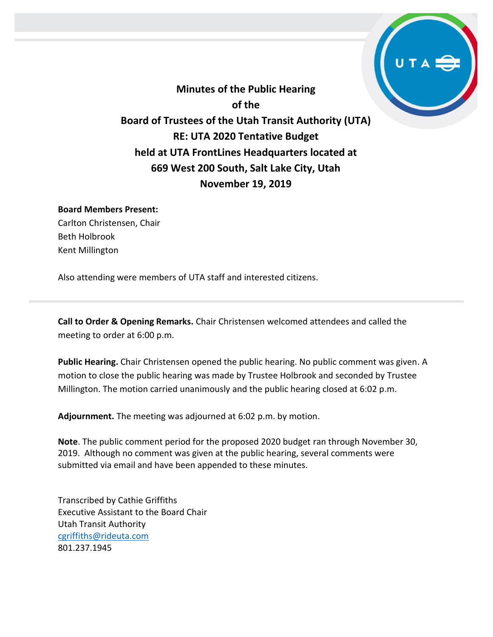

**Minutes of the Public Hearing of the Board of Trustees of the Utah Transit Authority (UTA) RE: UTA 2020 Tentative Budget held at UTA FrontLines Headquarters located at 669 West 200 South, Salt Lake City, Utah November 19, 2019**

## **Board Members Present:**

Carlton Christensen, Chair Beth Holbrook Kent Millington

Also attending were members of UTA staff and interested citizens.

**Call to Order & Opening Remarks.** Chair Christensen welcomed attendees and called the meeting to order at 6:00 p.m.

**Public Hearing.** Chair Christensen opened the public hearing. No public comment was given. A motion to close the public hearing was made by Trustee Holbrook and seconded by Trustee Millington. The motion carried unanimously and the public hearing closed at 6:02 p.m.

**Adjournment.** The meeting was adjourned at 6:02 p.m. by motion.

**Note**. The public comment period for the proposed 2020 budget ran through November 30, 2019. Although no comment was given at the public hearing, several comments were submitted via email and have been appended to these minutes.

Transcribed by Cathie Griffiths Executive Assistant to the Board Chair Utah Transit Authority [cgriffiths@rideuta.com](mailto:cgriffiths@rideuta.com) 801.237.1945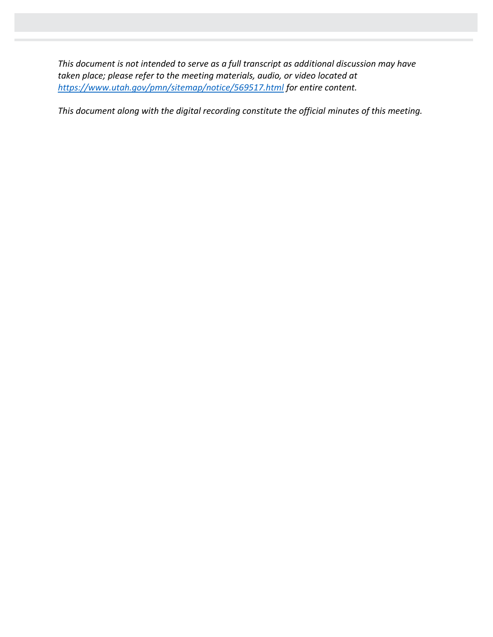*This document is not intended to serve as a full transcript as additional discussion may have taken place; please refer to the meeting materials, audio, or video located at <https://www.utah.gov/pmn/sitemap/notice/569517.html> for entire content.*

*This document along with the digital recording constitute the official minutes of this meeting.*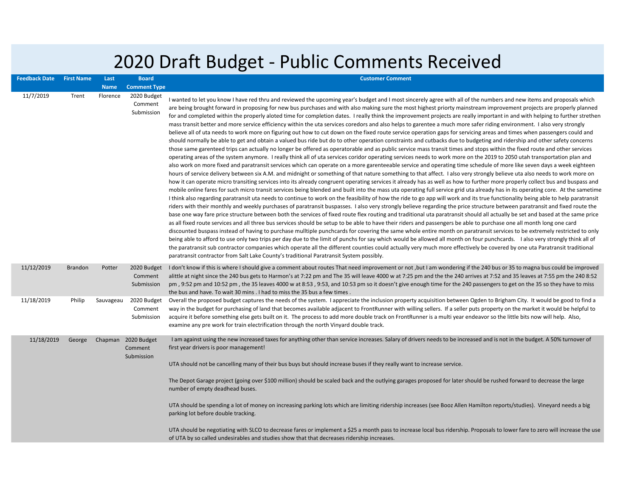## 2020 Draft Budget - Public Comments Received

| <b>Feedback Date</b> | <b>First Name</b> | Last        | <b>Board</b>                                 | <b>Customer Comment</b>                                                                                                                                                                                                                                                                                                                                                                                                                                                                                                                                                                                                                                                                                                                                                                                                                                                                                                                                                                                                                                                                                                                                                                                                                                                                                                                                                                                                                                                                                                                                                                                                                                                                                                                                                                                                                                                                                                                                                                                                                                                                                                                                                                                                                                                                                                                                                                                                                                                                                                                                                                                                                                                                                                                                                                                                                                                                                                                                                                                                                                                                                                                                                                                                                                                                                                                                                                                                                                                                                               |
|----------------------|-------------------|-------------|----------------------------------------------|-----------------------------------------------------------------------------------------------------------------------------------------------------------------------------------------------------------------------------------------------------------------------------------------------------------------------------------------------------------------------------------------------------------------------------------------------------------------------------------------------------------------------------------------------------------------------------------------------------------------------------------------------------------------------------------------------------------------------------------------------------------------------------------------------------------------------------------------------------------------------------------------------------------------------------------------------------------------------------------------------------------------------------------------------------------------------------------------------------------------------------------------------------------------------------------------------------------------------------------------------------------------------------------------------------------------------------------------------------------------------------------------------------------------------------------------------------------------------------------------------------------------------------------------------------------------------------------------------------------------------------------------------------------------------------------------------------------------------------------------------------------------------------------------------------------------------------------------------------------------------------------------------------------------------------------------------------------------------------------------------------------------------------------------------------------------------------------------------------------------------------------------------------------------------------------------------------------------------------------------------------------------------------------------------------------------------------------------------------------------------------------------------------------------------------------------------------------------------------------------------------------------------------------------------------------------------------------------------------------------------------------------------------------------------------------------------------------------------------------------------------------------------------------------------------------------------------------------------------------------------------------------------------------------------------------------------------------------------------------------------------------------------------------------------------------------------------------------------------------------------------------------------------------------------------------------------------------------------------------------------------------------------------------------------------------------------------------------------------------------------------------------------------------------------------------------------------------------------------------------------------------------------|
|                      |                   | <b>Name</b> | <b>Comment Type</b>                          |                                                                                                                                                                                                                                                                                                                                                                                                                                                                                                                                                                                                                                                                                                                                                                                                                                                                                                                                                                                                                                                                                                                                                                                                                                                                                                                                                                                                                                                                                                                                                                                                                                                                                                                                                                                                                                                                                                                                                                                                                                                                                                                                                                                                                                                                                                                                                                                                                                                                                                                                                                                                                                                                                                                                                                                                                                                                                                                                                                                                                                                                                                                                                                                                                                                                                                                                                                                                                                                                                                                       |
| 11/7/2019            | Trent             | Florence    | 2020 Budget<br>Comment<br>Submission         | I wanted to let you know I have red thru and reviewed the upcoming year's budget and I most sincerely agree with all of the numbers and new items and proposals which<br>are being brought forward in proposing for new bus purchases and with also making sure the most highest priorty mainstream improvement projects are properly planned<br>for and completed within the properly aloted time for completion dates. I really think the improvement projects are really important in and with helping to further strethen<br>mass transit better and more service efficiency within the uta services coredors and also helps to garentee a much more safer riding environment. I also very strongly<br>believe all of uta needs to work more on figuring out how to cut down on the fixed route service operation gaps for servicing areas and times when passengers could and<br>should normally be able to get and obtain a valued bus ride but do to other operation constraints and cutbacks due to budgeting and ridership and other safety concerns<br>those same garenteed trips can actually no longer be offered as operatorable and as public service mass transit times and stops within the fixed route and other services<br>operating areas of the system anymore. I really think all of uta services coridor operating services needs to work more on the 2019 to 2050 utah transportation plan and<br>also work on more fixed and paratransit services which can operate on a more garenteeable service and operating time schedule of more like seven days a week eighteen<br>hours of service delivery between six A.M. and midnight or something of that nature something to that affect. I also very strongly believe uta also needs to work more on<br>how it can operate micro transiting services into its already congruent operating services it already has as well as how to further more properly collect bus and buspass and<br>mobile online fares for such micro transit services being blended and built into the mass uta operating full service grid uta already has in its operating core. At the sametime<br>I think also regarding paratransit uta needs to continue to work on the feasibility of how the ride to go app will work and its true functionality being able to help paratransit<br>riders with their monthly and weekly purchases of paratransit buspasses. I also very strongly believe regarding the price structure between paratransit and fixed route the<br>base one way fare price structure between both the services of fixed route flex routing and traditional uta paratransit should all actually be set and based at the same price<br>as all fixed route services and all three bus services should be setup to be able to have their riders and passengers be able to purchase one all month long one card<br>discounted buspass instead of having to purchase mulltiple punchcards for covering the same whole entire month on paratransit services to be extremely restricted to only<br>being able to afford to use only two trips per day due to the limit of punchs for say which would be allowed all month on four punchcards. I also very strongly think all of<br>the paratransit sub contractor companies which operate all the different counties could actually very much more effectively be covered by one uta Paratransit traditional<br>paratransit contractor from Salt Lake County's traditional Paratransit System possibly. |
| 11/12/2019           | <b>Brandon</b>    | Potter      | 2020 Budget<br>Comment<br>Submission         | I don't know if this is where I should give a comment about routes That need improvement or not, but I am wondering if the 240 bus or 35 to magna bus could be improved<br>alittle at night since the 240 bus gets to Harmon's at 7:22 pm and The 35 will leave 4000 w at 7:25 pm and the the 240 arrives at 7:52 and 35 leaves at 7:55 pm the 240 8:52<br>pm, 9:52 pm and 10:52 pm, the 35 leaves 4000 w at 8:53, 9:53, and 10:53 pm so it doesn't give enough time for the 240 passengers to get on the 35 so they have to miss<br>the bus and have. To wait 30 mins . I had to miss the 35 bus a few times.                                                                                                                                                                                                                                                                                                                                                                                                                                                                                                                                                                                                                                                                                                                                                                                                                                                                                                                                                                                                                                                                                                                                                                                                                                                                                                                                                                                                                                                                                                                                                                                                                                                                                                                                                                                                                                                                                                                                                                                                                                                                                                                                                                                                                                                                                                                                                                                                                                                                                                                                                                                                                                                                                                                                                                                                                                                                                                        |
| 11/18/2019           | Philip            | Sauvageau   | 2020 Budget<br>Comment<br>Submission         | Overall the proposed budget captures the needs of the system. I appreciate the inclusion property acquisition between Ogden to Brigham City. It would be good to find a<br>way in the budget for purchasing of land that becomes available adjacent to FrontRunner with willing sellers. If a seller puts property on the market it would be helpful to<br>acquire it before something else gets built on it. The process to add more double track on FrontRunner is a multi year endeavor so the little bits now will help. Also,<br>examine any pre work for train electrification through the north Vinyard double track.                                                                                                                                                                                                                                                                                                                                                                                                                                                                                                                                                                                                                                                                                                                                                                                                                                                                                                                                                                                                                                                                                                                                                                                                                                                                                                                                                                                                                                                                                                                                                                                                                                                                                                                                                                                                                                                                                                                                                                                                                                                                                                                                                                                                                                                                                                                                                                                                                                                                                                                                                                                                                                                                                                                                                                                                                                                                                          |
| 11/18/2019           | George            |             | Chapman 2020 Budget<br>Comment<br>Submission | I am against using the new increased taxes for anything other than service increases. Salary of drivers needs to be increased and is not in the budget. A 50% turnover of<br>first year drivers is poor management!<br>UTA should not be cancelling many of their bus buys but should increase buses if they really want to increase service.<br>The Depot Garage project (going over \$100 million) should be scaled back and the outlying garages proposed for later should be rushed forward to decrease the large<br>number of empty deadhead buses.<br>UTA should be spending a lot of money on increasing parking lots which are limiting ridership increases (see Booz Allen Hamilton reports/studies). Vineyard needs a big<br>parking lot before double tracking.<br>UTA should be negotiating with SLCO to decrease fares or implement a \$25 a month pass to increase local bus ridership. Proposals to lower fare to zero will increase the use<br>of UTA by so called undesirables and studies show that that decreases ridership increases.                                                                                                                                                                                                                                                                                                                                                                                                                                                                                                                                                                                                                                                                                                                                                                                                                                                                                                                                                                                                                                                                                                                                                                                                                                                                                                                                                                                                                                                                                                                                                                                                                                                                                                                                                                                                                                                                                                                                                                                                                                                                                                                                                                                                                                                                                                                                                                                                                                                             |